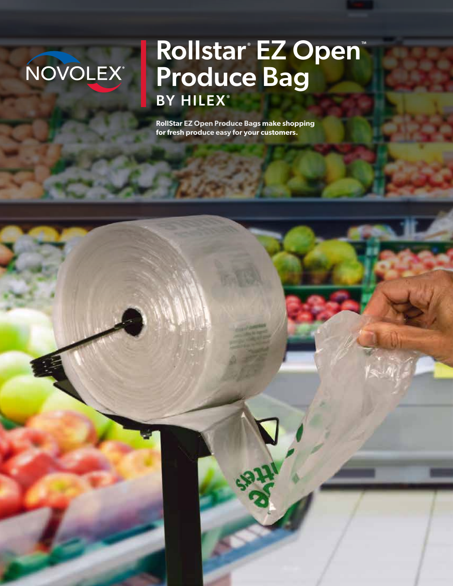# NOVOLEX

## Rollstar® EZ Open® Produce Bag BY HILEX®

**RollStar EZ Open Produce Bags make shopping for fresh produce easy for your customers.**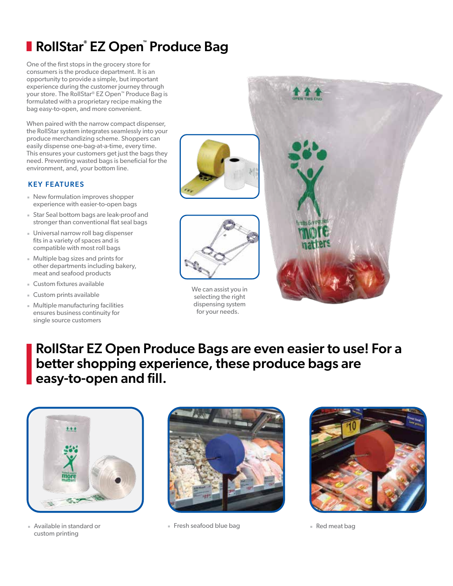## **RollStar® EZ Open™ Produce Bag**

One of the first stops in the grocery store for consumers is the produce department. It is an opportunity to provide a simple, but important experience during the customer journey through your store. The RollStar® EZ Open™ Produce Bag is formulated with a proprietary recipe making the bag easy-to-open, and more convenient.

When paired with the narrow compact dispenser, the RollStar system integrates seamlessly into your produce merchandizing scheme. Shoppers can easily dispense one-bag-at-a-time, every time. This ensures your customers get just the bags they need. Preventing wasted bags is beneficial for the environment, and, your bottom line.

#### KEY FEATURES

- New formulation improves shopper experience with easier-to-open bags
- Star Seal bottom bags are leak-proof and stronger than conventional flat seal bags
- Universal narrow roll bag dispenser fits in a variety of spaces and is compatible with most roll bags
- Multiple bag sizes and prints for other departments including bakery, meat and seafood products
- Custom fixtures available
- Custom prints available
- Multiple manufacturing facilities ensures business continuity for single source customers





We can assist you in selecting the right dispensing system for your needs.



### RollStar EZ Open Produce Bags are even easier to use! For a better shopping experience, these produce bags are easy-to-open and fill.



custom printing



■ Available in standard or ★ ★ ■ Fresh seafood blue bag ★ ■ Red meat bag ★ Red meat bag

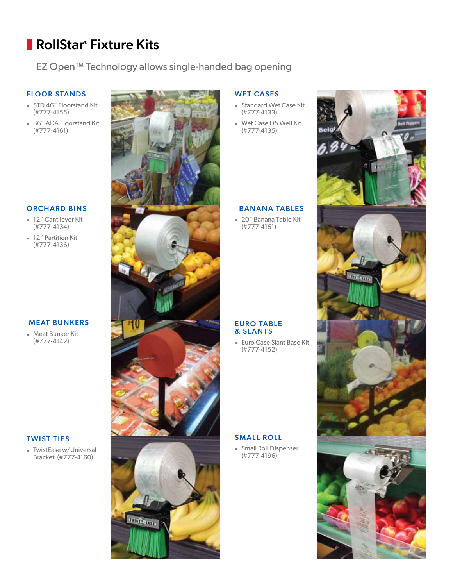## RollStar® Fixture Kits

EZ Open™ Technology allows single-handed bag opening

#### FLOOR STANDS

- STD 46" Floorstand Kit (#777-4155)
- 36" ADA Floorstand Kit (#777-4161)

#### ORCHARD BINS

- 12" Cantilever Kit (#777-4134)
- 12" Partition Kit (#777-4136)

#### MEAT BUNKERS

■ Meat Bunker Kit (#777-4142)

#### TWIST TIES

■ TwistEase w/Universal Bracket (#777-4160)



#### WET CASES

- Standard Wet Case Kit (#777-4133)
- Wet Case D5 Well Kit (#777-4135)

#### BANANA TABLES

■ 20" Banana Table Kit (#777-4151)

#### **EURO TABLE** & SLANTS

■ Euro Case Slant Base Kit (#777-4152)

#### SMALL ROLL

**Burger** Small Roll Dispenser (#777-4196)

![](_page_2_Picture_22.jpeg)